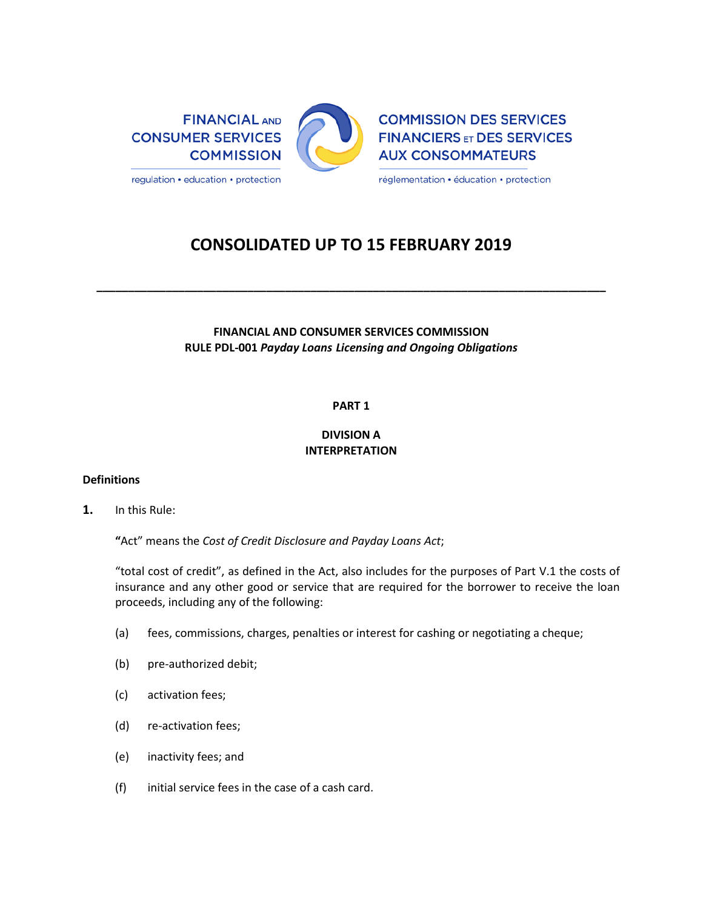

# **CONSOLIDATED UP TO 15 FEBRUARY 2019**

**\_\_\_\_\_\_\_\_\_\_\_\_\_\_\_\_\_\_\_\_\_\_\_\_\_\_\_\_\_\_\_\_\_\_\_\_\_\_\_\_\_\_\_\_\_\_\_\_\_\_\_\_\_\_\_\_\_\_\_\_\_\_\_\_\_\_\_\_\_\_\_\_\_\_\_\_\_\_\_\_\_**

## **FINANCIAL AND CONSUMER SERVICES COMMISSION RULE PDL-001** *Payday Loans Licensing and Ongoing Obligations*

## **PART 1**

### **DIVISION A INTERPRETATION**

### **Definitions**

**1.** In this Rule:

**"**Act" means the *Cost of Credit Disclosure and Payday Loans Act*;

"total cost of credit", as defined in the Act, also includes for the purposes of Part V.1 the costs of insurance and any other good or service that are required for the borrower to receive the loan proceeds, including any of the following:

- (a) fees, commissions, charges, penalties or interest for cashing or negotiating a cheque;
- (b) pre-authorized debit;
- (c) activation fees;
- (d) re-activation fees;
- (e) inactivity fees; and
- (f) initial service fees in the case of a cash card.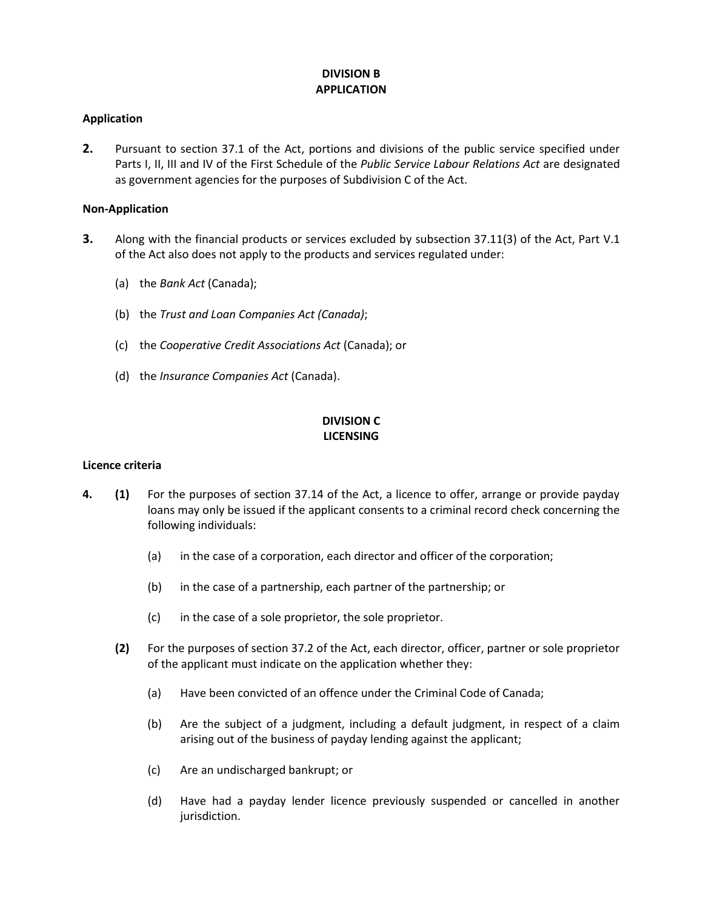### **DIVISION B APPLICATION**

### **Application**

**2.** Pursuant to section 37.1 of the Act, portions and divisions of the public service specified under Parts I, II, III and IV of the First Schedule of the *Public Service Labour Relations Act* are designated as government agencies for the purposes of Subdivision C of the Act.

### **Non-Application**

- **3.** Along with the financial products or services excluded by subsection 37.11(3) of the Act, Part V.1 of the Act also does not apply to the products and services regulated under:
	- (a) the *Bank Act* (Canada);
	- (b) the *Trust and Loan Companies Act (Canada)*;
	- (c) the *Cooperative Credit Associations Act* (Canada); or
	- (d) the *Insurance Companies Act* (Canada).

### **DIVISION C LICENSING**

### **Licence criteria**

- **4. (1)** For the purposes of section 37.14 of the Act, a licence to offer, arrange or provide payday loans may only be issued if the applicant consents to a criminal record check concerning the following individuals:
	- (a) in the case of a corporation, each director and officer of the corporation;
	- (b) in the case of a partnership, each partner of the partnership; or
	- (c) in the case of a sole proprietor, the sole proprietor.
	- **(2)** For the purposes of section 37.2 of the Act, each director, officer, partner or sole proprietor of the applicant must indicate on the application whether they:
		- (a) Have been convicted of an offence under the Criminal Code of Canada;
		- (b) Are the subject of a judgment, including a default judgment, in respect of a claim arising out of the business of payday lending against the applicant;
		- (c) Are an undischarged bankrupt; or
		- (d) Have had a payday lender licence previously suspended or cancelled in another jurisdiction.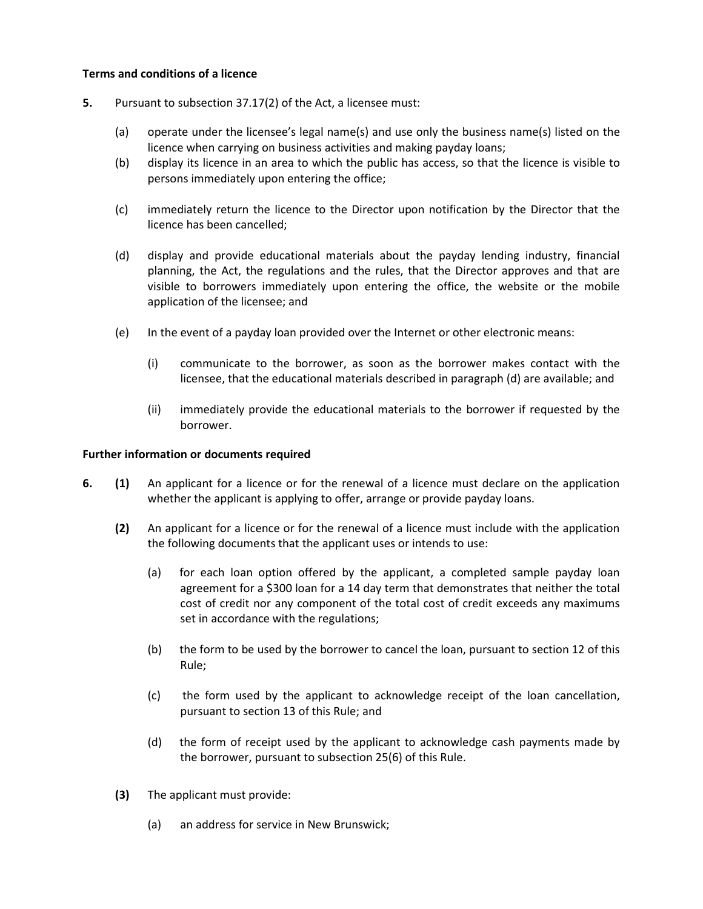### **Terms and conditions of a licence**

- **5.** Pursuant to subsection 37.17(2) of the Act, a licensee must:
	- (a) operate under the licensee's legal name(s) and use only the business name(s) listed on the licence when carrying on business activities and making payday loans;
	- (b) display its licence in an area to which the public has access, so that the licence is visible to persons immediately upon entering the office;
	- (c) immediately return the licence to the Director upon notification by the Director that the licence has been cancelled;
	- (d) display and provide educational materials about the payday lending industry, financial planning, the Act, the regulations and the rules, that the Director approves and that are visible to borrowers immediately upon entering the office, the website or the mobile application of the licensee; and
	- (e) In the event of a payday loan provided over the Internet or other electronic means:
		- (i) communicate to the borrower, as soon as the borrower makes contact with the licensee, that the educational materials described in paragraph (d) are available; and
		- (ii) immediately provide the educational materials to the borrower if requested by the borrower.

### **Further information or documents required**

- **6. (1)** An applicant for a licence or for the renewal of a licence must declare on the application whether the applicant is applying to offer, arrange or provide payday loans.
	- **(2)** An applicant for a licence or for the renewal of a licence must include with the application the following documents that the applicant uses or intends to use:
		- (a) for each loan option offered by the applicant, a completed sample payday loan agreement for a \$300 loan for a 14 day term that demonstrates that neither the total cost of credit nor any component of the total cost of credit exceeds any maximums set in accordance with the regulations;
		- (b) the form to be used by the borrower to cancel the loan, pursuant to section 12 of this Rule;
		- (c) the form used by the applicant to acknowledge receipt of the loan cancellation, pursuant to section 13 of this Rule; and
		- (d) the form of receipt used by the applicant to acknowledge cash payments made by the borrower, pursuant to subsection 25(6) of this Rule.
	- **(3)** The applicant must provide:
		- (a) an address for service in New Brunswick;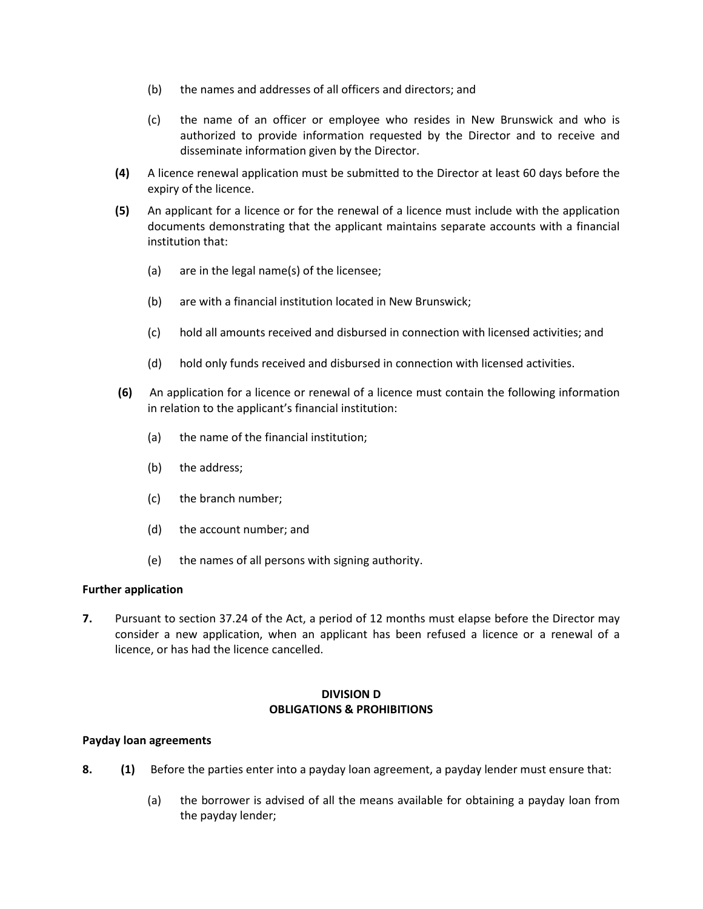- (b) the names and addresses of all officers and directors; and
- (c) the name of an officer or employee who resides in New Brunswick and who is authorized to provide information requested by the Director and to receive and disseminate information given by the Director.
- **(4)** A licence renewal application must be submitted to the Director at least 60 days before the expiry of the licence.
- **(5)** An applicant for a licence or for the renewal of a licence must include with the application documents demonstrating that the applicant maintains separate accounts with a financial institution that:
	- (a) are in the legal name(s) of the licensee;
	- (b) are with a financial institution located in New Brunswick;
	- (c) hold all amounts received and disbursed in connection with licensed activities; and
	- (d) hold only funds received and disbursed in connection with licensed activities.
- **(6)** An application for a licence or renewal of a licence must contain the following information in relation to the applicant's financial institution:
	- (a) the name of the financial institution;
	- (b) the address;
	- (c) the branch number;
	- (d) the account number; and
	- (e) the names of all persons with signing authority.

### **Further application**

**7.** Pursuant to section 37.24 of the Act, a period of 12 months must elapse before the Director may consider a new application, when an applicant has been refused a licence or a renewal of a licence, or has had the licence cancelled.

### **DIVISION D OBLIGATIONS & PROHIBITIONS**

### **Payday loan agreements**

- **8. (1)** Before the parties enter into a payday loan agreement, a payday lender must ensure that:
	- (a) the borrower is advised of all the means available for obtaining a payday loan from the payday lender;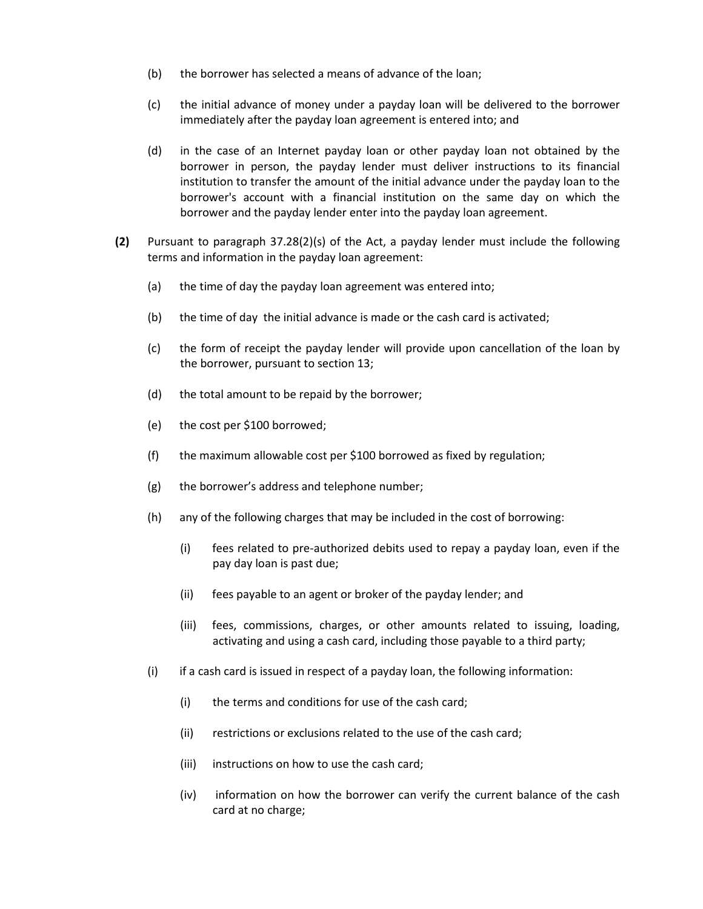- (b) the borrower has selected a means of advance of the loan;
- (c) the initial advance of money under a payday loan will be delivered to the borrower immediately after the payday loan agreement is entered into; and
- (d) in the case of an Internet payday loan or other payday loan not obtained by the borrower in person, the payday lender must deliver instructions to its financial institution to transfer the amount of the initial advance under the payday loan to the borrower's account with a financial institution on the same day on which the borrower and the payday lender enter into the payday loan agreement.
- **(2)** Pursuant to paragraph 37.28(2)(s) of the Act, a payday lender must include the following terms and information in the payday loan agreement:
	- (a) the time of day the payday loan agreement was entered into;
	- (b) the time of day the initial advance is made or the cash card is activated;
	- (c) the form of receipt the payday lender will provide upon cancellation of the loan by the borrower, pursuant to section 13;
	- (d) the total amount to be repaid by the borrower;
	- (e) the cost per \$100 borrowed;
	- (f) the maximum allowable cost per \$100 borrowed as fixed by regulation;
	- (g) the borrower's address and telephone number;
	- (h) any of the following charges that may be included in the cost of borrowing:
		- (i) fees related to pre-authorized debits used to repay a payday loan, even if the pay day loan is past due;
		- (ii) fees payable to an agent or broker of the payday lender; and
		- (iii) fees, commissions, charges, or other amounts related to issuing, loading, activating and using a cash card, including those payable to a third party;
	- $(i)$  if a cash card is issued in respect of a payday loan, the following information:
		- (i) the terms and conditions for use of the cash card;
		- (ii) restrictions or exclusions related to the use of the cash card;
		- (iii) instructions on how to use the cash card;
		- (iv) information on how the borrower can verify the current balance of the cash card at no charge;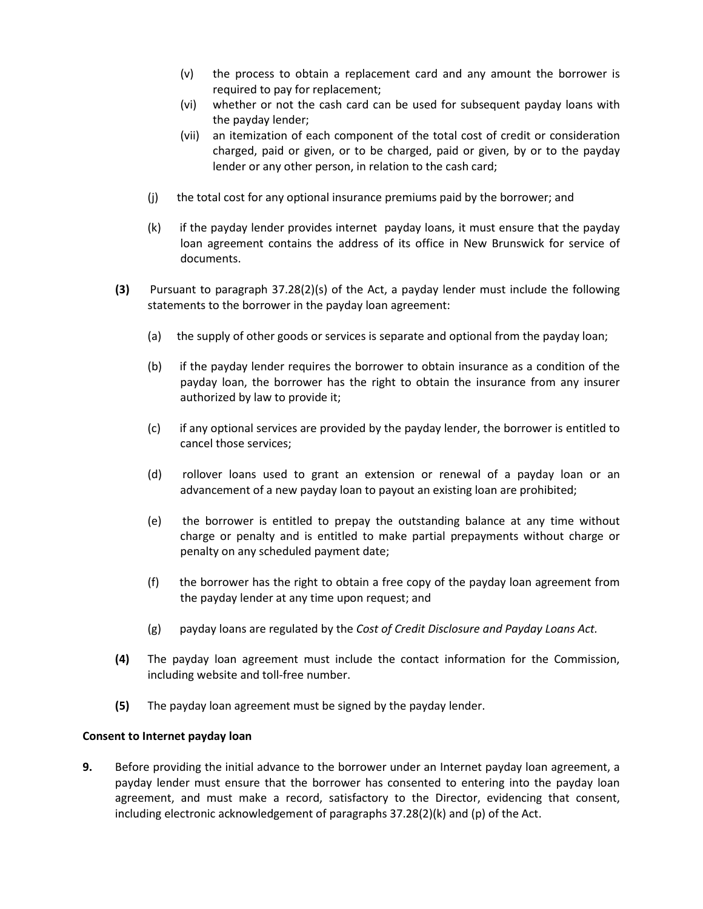- (v) the process to obtain a replacement card and any amount the borrower is required to pay for replacement;
- (vi) whether or not the cash card can be used for subsequent payday loans with the payday lender;
- (vii) an itemization of each component of the total cost of credit or consideration charged, paid or given, or to be charged, paid or given, by or to the payday lender or any other person, in relation to the cash card;
- (j) the total cost for any optional insurance premiums paid by the borrower; and
- (k) if the payday lender provides internet payday loans, it must ensure that the payday loan agreement contains the address of its office in New Brunswick for service of documents.
- **(3)** Pursuant to paragraph 37.28(2)(s) of the Act, a payday lender must include the following statements to the borrower in the payday loan agreement:
	- (a) the supply of other goods or services is separate and optional from the payday loan;
	- (b) if the payday lender requires the borrower to obtain insurance as a condition of the payday loan, the borrower has the right to obtain the insurance from any insurer authorized by law to provide it;
	- (c) if any optional services are provided by the payday lender, the borrower is entitled to cancel those services;
	- (d) rollover loans used to grant an extension or renewal of a payday loan or an advancement of a new payday loan to payout an existing loan are prohibited;
	- (e) the borrower is entitled to prepay the outstanding balance at any time without charge or penalty and is entitled to make partial prepayments without charge or penalty on any scheduled payment date;
	- (f) the borrower has the right to obtain a free copy of the payday loan agreement from the payday lender at any time upon request; and
	- (g) payday loans are regulated by the *Cost of Credit Disclosure and Payday Loans Act.*
- **(4)** The payday loan agreement must include the contact information for the Commission, including website and toll-free number.
- **(5)** The payday loan agreement must be signed by the payday lender.

### **Consent to Internet payday loan**

**9.** Before providing the initial advance to the borrower under an Internet payday loan agreement, a payday lender must ensure that the borrower has consented to entering into the payday loan agreement, and must make a record, satisfactory to the Director, evidencing that consent, including electronic acknowledgement of paragraphs 37.28(2)(k) and (p) of the Act.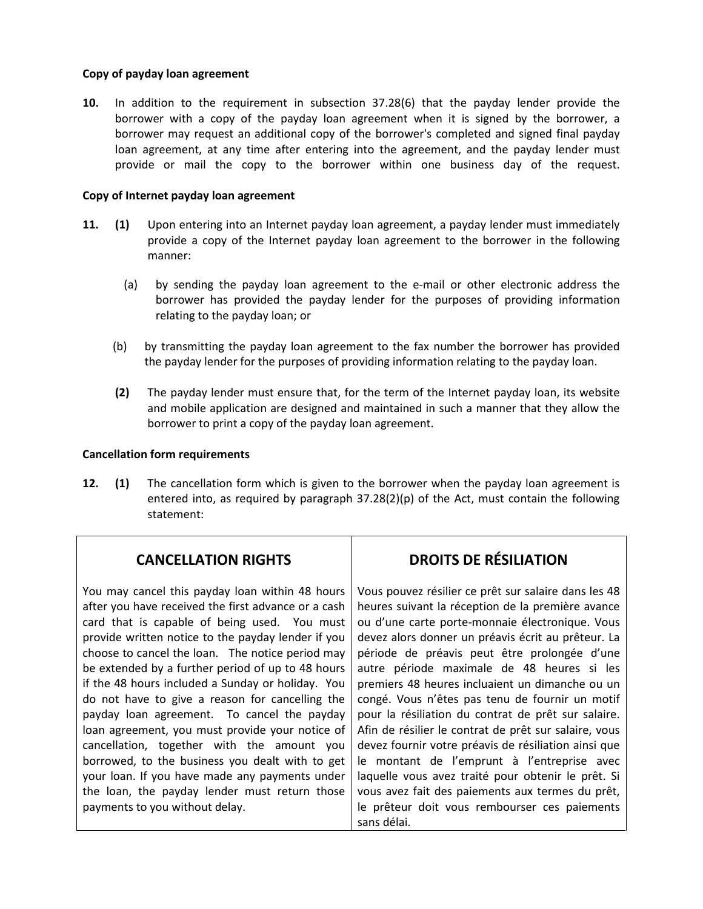### **Copy of payday loan agreement**

**10.** In addition to the requirement in subsection 37.28(6) that the payday lender provide the borrower with a copy of the payday loan agreement when it is signed by the borrower, a borrower may request an additional copy of the borrower's completed and signed final payday loan agreement, at any time after entering into the agreement, and the payday lender must provide or mail the copy to the borrower within one business day of the request.

### **Copy of Internet payday loan agreement**

- **11. (1)** Upon entering into an Internet payday loan agreement, a payday lender must immediately provide a copy of the Internet payday loan agreement to the borrower in the following manner:
	- (a) by sending the payday loan agreement to the e-mail or other electronic address the borrower has provided the payday lender for the purposes of providing information relating to the payday loan; or
	- (b) by transmitting the payday loan agreement to the fax number the borrower has provided the payday lender for the purposes of providing information relating to the payday loan.
	- **(2)** The payday lender must ensure that, for the term of the Internet payday loan, its website and mobile application are designed and maintained in such a manner that they allow the borrower to print a copy of the payday loan agreement.

### **Cancellation form requirements**

**12. (1)** The cancellation form which is given to the borrower when the payday loan agreement is entered into, as required by paragraph  $37.28(2)(p)$  of the Act, must contain the following statement:

## **CANCELLATION RIGHTS**

You may cancel this payday loan within 48 hours after you have received the first advance or a cash card that is capable of being used. You must provide written notice to the payday lender if you choose to cancel the loan. The notice period may be extended by a further period of up to 48 hours if the 48 hours included a Sunday or holiday. You do not have to give a reason for cancelling the payday loan agreement. To cancel the payday loan agreement, you must provide your notice of cancellation, together with the amount you borrowed, to the business you dealt with to get your loan. If you have made any payments under the loan, the payday lender must return those payments to you without delay.

## **DROITS DE RÉSILIATION**

Vous pouvez résilier ce prêt sur salaire dans les 48 heures suivant la réception de la première avance ou d'une carte porte-monnaie électronique. Vous devez alors donner un préavis écrit au prêteur. La période de préavis peut être prolongée d'une autre période maximale de 48 heures si les premiers 48 heures incluaient un dimanche ou un congé. Vous n'êtes pas tenu de fournir un motif pour la résiliation du contrat de prêt sur salaire. Afin de résilier le contrat de prêt sur salaire, vous devez fournir votre préavis de résiliation ainsi que le montant de l'emprunt à l'entreprise avec laquelle vous avez traité pour obtenir le prêt. Si vous avez fait des paiements aux termes du prêt, le prêteur doit vous rembourser ces paiements sans délai.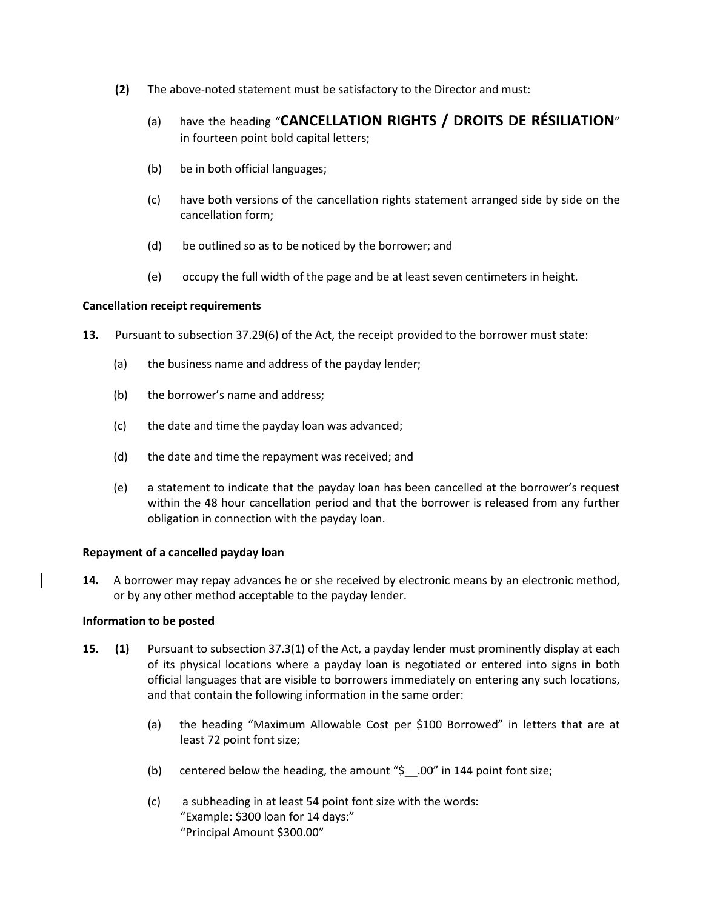- **(2)** The above-noted statement must be satisfactory to the Director and must:
	- (a) have the heading "**CANCELLATION RIGHTS / DROITS DE RÉSILIATION**" in fourteen point bold capital letters;
	- (b) be in both official languages;
	- (c) have both versions of the cancellation rights statement arranged side by side on the cancellation form;
	- (d) be outlined so as to be noticed by the borrower; and
	- (e) occupy the full width of the page and be at least seven centimeters in height.

### **Cancellation receipt requirements**

- **13.** Pursuant to subsection 37.29(6) of the Act, the receipt provided to the borrower must state:
	- (a) the business name and address of the payday lender;
	- (b) the borrower's name and address;
	- (c) the date and time the payday loan was advanced;
	- (d) the date and time the repayment was received; and
	- (e) a statement to indicate that the payday loan has been cancelled at the borrower's request within the 48 hour cancellation period and that the borrower is released from any further obligation in connection with the payday loan.

### **Repayment of a cancelled payday loan**

**14.** A borrower may repay advances he or she received by electronic means by an electronic method, or by any other method acceptable to the payday lender.

### **Information to be posted**

- **15. (1)** Pursuant to subsection 37.3(1) of the Act, a payday lender must prominently display at each of its physical locations where a payday loan is negotiated or entered into signs in both official languages that are visible to borrowers immediately on entering any such locations, and that contain the following information in the same order:
	- (a) the heading "Maximum Allowable Cost per \$100 Borrowed" in letters that are at least 72 point font size;
	- (b) centered below the heading, the amount "\$\_\_.00" in 144 point font size;
	- (c) a subheading in at least 54 point font size with the words: "Example: \$300 loan for 14 days:" "Principal Amount \$300.00"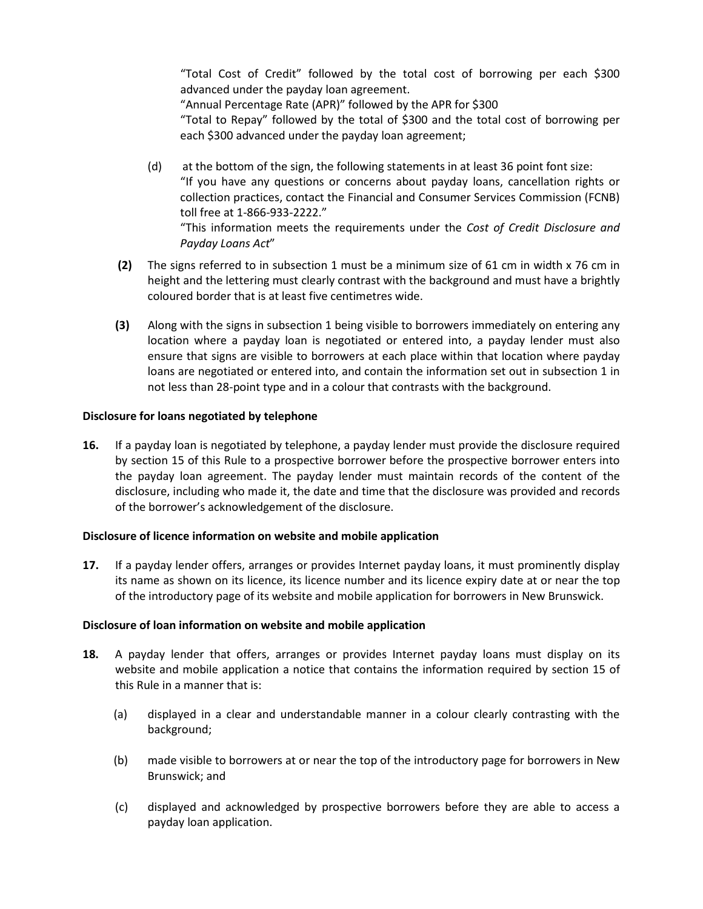"Total Cost of Credit" followed by the total cost of borrowing per each \$300 advanced under the payday loan agreement.

"Annual Percentage Rate (APR)" followed by the APR for \$300

"Total to Repay" followed by the total of \$300 and the total cost of borrowing per each \$300 advanced under the payday loan agreement;

- (d) at the bottom of the sign, the following statements in at least 36 point font size: "If you have any questions or concerns about payday loans, cancellation rights or collection practices, contact the Financial and Consumer Services Commission (FCNB) toll free at 1-866-933-2222." "This information meets the requirements under the *Cost of Credit Disclosure and Payday Loans Act*"
- **(2)** The signs referred to in subsection 1 must be a minimum size of 61 cm in width x 76 cm in height and the lettering must clearly contrast with the background and must have a brightly coloured border that is at least five centimetres wide.
- **(3)** Along with the signs in subsection 1 being visible to borrowers immediately on entering any location where a payday loan is negotiated or entered into, a payday lender must also ensure that signs are visible to borrowers at each place within that location where payday loans are negotiated or entered into, and contain the information set out in subsection 1 in not less than 28-point type and in a colour that contrasts with the background.

## **Disclosure for loans negotiated by telephone**

**16.** If a payday loan is negotiated by telephone, a payday lender must provide the disclosure required by section 15 of this Rule to a prospective borrower before the prospective borrower enters into the payday loan agreement. The payday lender must maintain records of the content of the disclosure, including who made it, the date and time that the disclosure was provided and records of the borrower's acknowledgement of the disclosure.

### **Disclosure of licence information on website and mobile application**

**17.** If a payday lender offers, arranges or provides Internet payday loans, it must prominently display its name as shown on its licence, its licence number and its licence expiry date at or near the top of the introductory page of its website and mobile application for borrowers in New Brunswick.

### **Disclosure of loan information on website and mobile application**

- **18.** A payday lender that offers, arranges or provides Internet payday loans must display on its website and mobile application a notice that contains the information required by section 15 of this Rule in a manner that is:
	- (a) displayed in a clear and understandable manner in a colour clearly contrasting with the background;
	- (b) made visible to borrowers at or near the top of the introductory page for borrowers in New Brunswick; and
	- (c) displayed and acknowledged by prospective borrowers before they are able to access a payday loan application.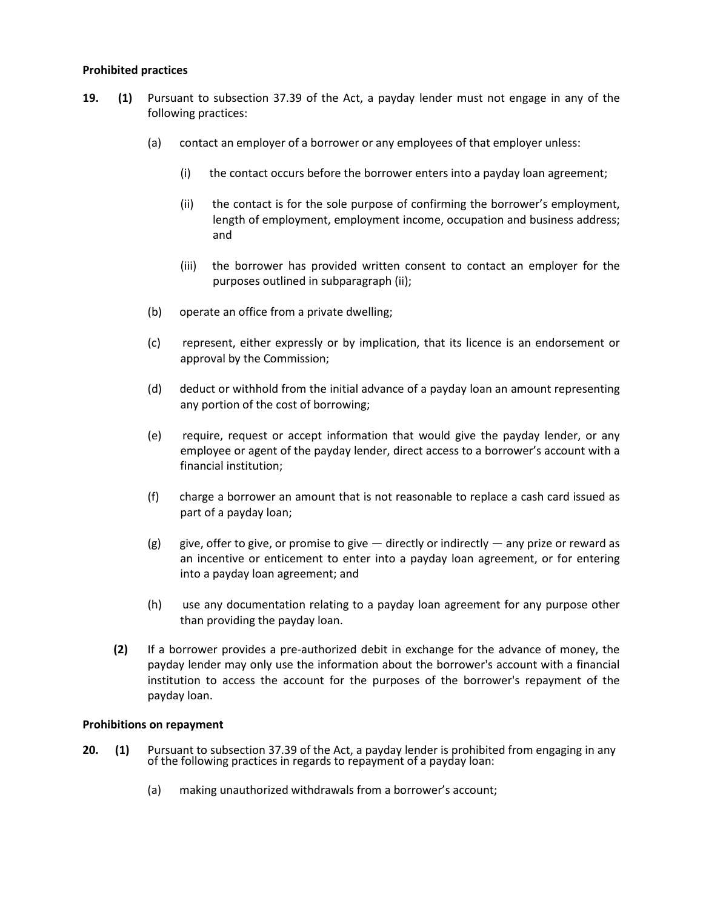### **Prohibited practices**

- **19. (1)** Pursuant to subsection 37.39 of the Act, a payday lender must not engage in any of the following practices:
	- (a) contact an employer of a borrower or any employees of that employer unless:
		- (i) the contact occurs before the borrower enters into a payday loan agreement;
		- (ii) the contact is for the sole purpose of confirming the borrower's employment, length of employment, employment income, occupation and business address; and
		- (iii) the borrower has provided written consent to contact an employer for the purposes outlined in subparagraph (ii);
	- (b) operate an office from a private dwelling;
	- (c) represent, either expressly or by implication, that its licence is an endorsement or approval by the Commission;
	- (d) deduct or withhold from the initial advance of a payday loan an amount representing any portion of the cost of borrowing;
	- (e) require, request or accept information that would give the payday lender, or any employee or agent of the payday lender, direct access to a borrower's account with a financial institution;
	- (f) charge a borrower an amount that is not reasonable to replace a cash card issued as part of a payday loan;
	- (g) give, offer to give, or promise to give  $-$  directly or indirectly  $-$  any prize or reward as an incentive or enticement to enter into a payday loan agreement, or for entering into a payday loan agreement; and
	- (h) use any documentation relating to a payday loan agreement for any purpose other than providing the payday loan.
	- **(2)** If a borrower provides a pre-authorized debit in exchange for the advance of money, the payday lender may only use the information about the borrower's account with a financial institution to access the account for the purposes of the borrower's repayment of the payday loan.

### **Prohibitions on repayment**

- **20. (1)** Pursuant to subsection 37.39 of the Act, a payday lender is prohibited from engaging in any of the following practices in regards to repayment of a payday loan:
	- (a) making unauthorized withdrawals from a borrower's account;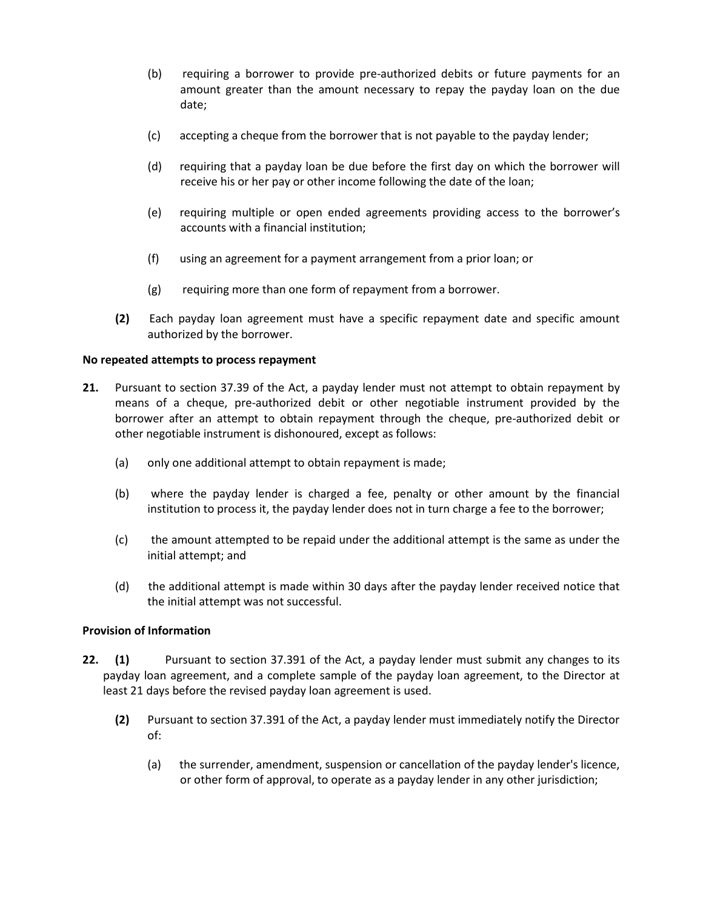- (b) requiring a borrower to provide pre-authorized debits or future payments for an amount greater than the amount necessary to repay the payday loan on the due date;
- (c) accepting a cheque from the borrower that is not payable to the payday lender;
- (d) requiring that a payday loan be due before the first day on which the borrower will receive his or her pay or other income following the date of the loan;
- (e) requiring multiple or open ended agreements providing access to the borrower's accounts with a financial institution;
- (f) using an agreement for a payment arrangement from a prior loan; or
- (g) requiring more than one form of repayment from a borrower.
- **(2)** Each payday loan agreement must have a specific repayment date and specific amount authorized by the borrower.

### **No repeated attempts to process repayment**

- **21.** Pursuant to section 37.39 of the Act, a payday lender must not attempt to obtain repayment by means of a cheque, pre-authorized debit or other negotiable instrument provided by the borrower after an attempt to obtain repayment through the cheque, pre-authorized debit or other negotiable instrument is dishonoured, except as follows:
	- (a) only one additional attempt to obtain repayment is made;
	- (b) where the payday lender is charged a fee, penalty or other amount by the financial institution to process it, the payday lender does not in turn charge a fee to the borrower;
	- (c) the amount attempted to be repaid under the additional attempt is the same as under the initial attempt; and
	- (d) the additional attempt is made within 30 days after the payday lender received notice that the initial attempt was not successful.

### **Provision of Information**

- **22. (1)** Pursuant to section 37.391 of the Act, a payday lender must submit any changes to its payday loan agreement, and a complete sample of the payday loan agreement, to the Director at least 21 days before the revised payday loan agreement is used.
	- **(2)** Pursuant to section 37.391 of the Act, a payday lender must immediately notify the Director of:
		- (a) the surrender, amendment, suspension or cancellation of the payday lender's licence, or other form of approval, to operate as a payday lender in any other jurisdiction;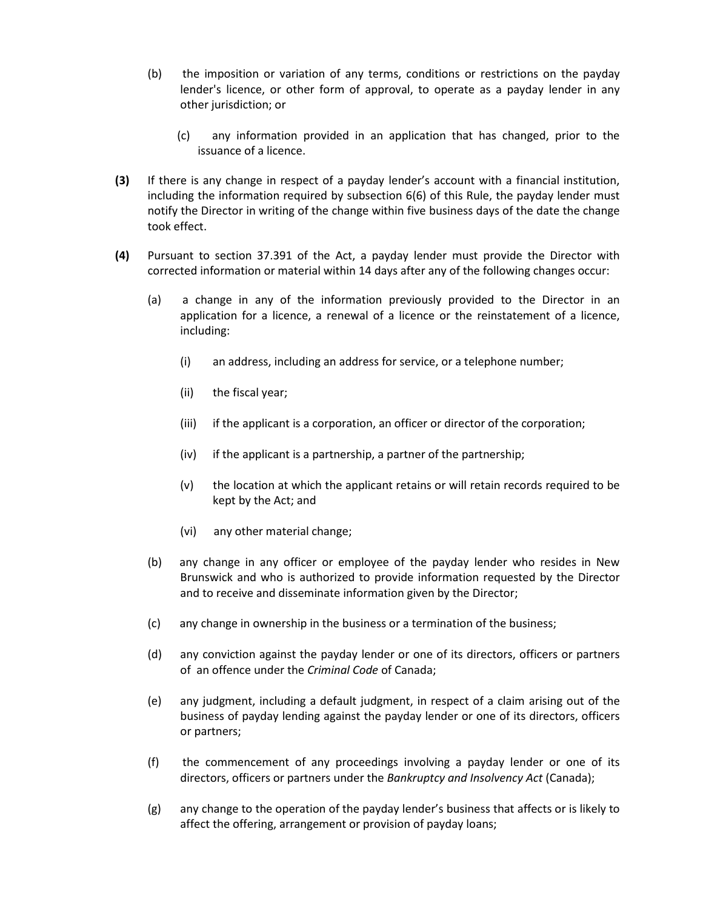- (b) the imposition or variation of any terms, conditions or restrictions on the payday lender's licence, or other form of approval, to operate as a payday lender in any other jurisdiction; or
	- (c) any information provided in an application that has changed, prior to the issuance of a licence.
- **(3)** If there is any change in respect of a payday lender's account with a financial institution, including the information required by subsection 6(6) of this Rule, the payday lender must notify the Director in writing of the change within five business days of the date the change took effect.
- **(4)** Pursuant to section 37.391 of the Act, a payday lender must provide the Director with corrected information or material within 14 days after any of the following changes occur:
	- (a) a change in any of the information previously provided to the Director in an application for a licence, a renewal of a licence or the reinstatement of a licence, including:
		- (i) an address, including an address for service, or a telephone number;
		- (ii) the fiscal year;
		- (iii) if the applicant is a corporation, an officer or director of the corporation;
		- (iv) if the applicant is a partnership, a partner of the partnership;
		- (v) the location at which the applicant retains or will retain records required to be kept by the Act; and
		- (vi) any other material change;
	- (b) any change in any officer or employee of the payday lender who resides in New Brunswick and who is authorized to provide information requested by the Director and to receive and disseminate information given by the Director;
	- (c) any change in ownership in the business or a termination of the business;
	- (d) any conviction against the payday lender or one of its directors, officers or partners of an offence under the *Criminal Code* of Canada;
	- (e) any judgment, including a default judgment, in respect of a claim arising out of the business of payday lending against the payday lender or one of its directors, officers or partners;
	- (f) the commencement of any proceedings involving a payday lender or one of its directors, officers or partners under the *Bankruptcy and Insolvency Act* (Canada);
	- (g) any change to the operation of the payday lender's business that affects or is likely to affect the offering, arrangement or provision of payday loans;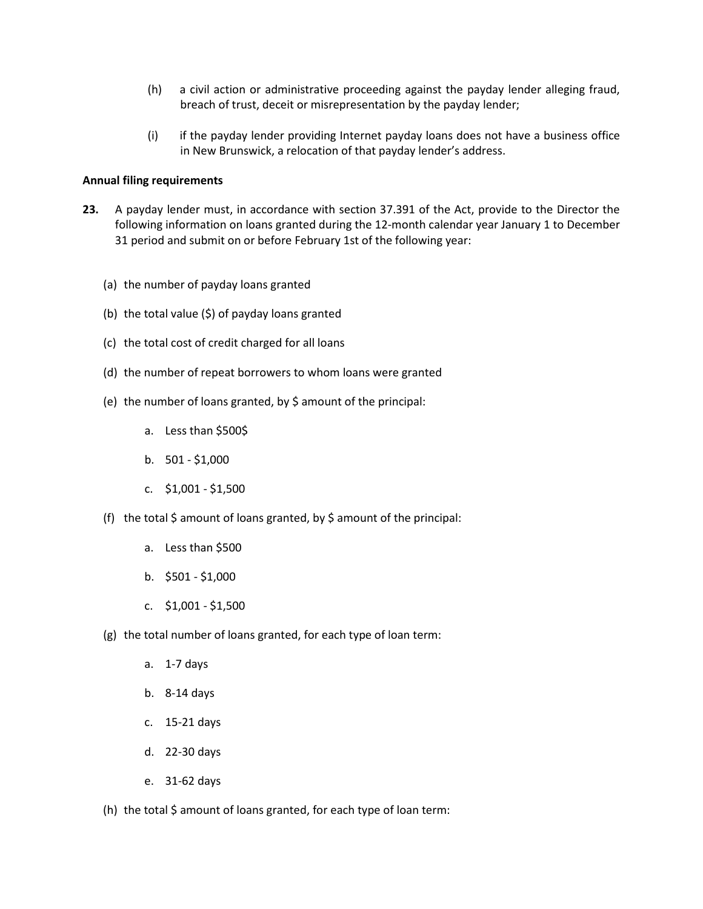- (h) a civil action or administrative proceeding against the payday lender alleging fraud, breach of trust, deceit or misrepresentation by the payday lender;
- (i) if the payday lender providing Internet payday loans does not have a business office in New Brunswick, a relocation of that payday lender's address.

### **Annual filing requirements**

- **23.** A payday lender must, in accordance with section 37.391 of the Act, provide to the Director the following information on loans granted during the 12-month calendar year January 1 to December 31 period and submit on or before February 1st of the following year:
	- (a) the number of payday loans granted
	- (b) the total value  $(\xi)$  of payday loans granted
	- (c) the total cost of credit charged for all loans
	- (d) the number of repeat borrowers to whom loans were granted
	- (e) the number of loans granted, by \$ amount of the principal:
		- a. Less than \$500\$
		- b.  $501 $1,000$
		- c. \$1,001 \$1,500
	- (f) the total  $\zeta$  amount of loans granted, by  $\zeta$  amount of the principal:
		- a. Less than \$500
		- b. \$501 \$1,000
		- c. \$1,001 \$1,500
	- (g) the total number of loans granted, for each type of loan term:
		- a. 1-7 days
		- b. 8-14 days
		- c. 15-21 days
		- d. 22-30 days
		- e. 31-62 days
	- (h) the total  $\zeta$  amount of loans granted, for each type of loan term: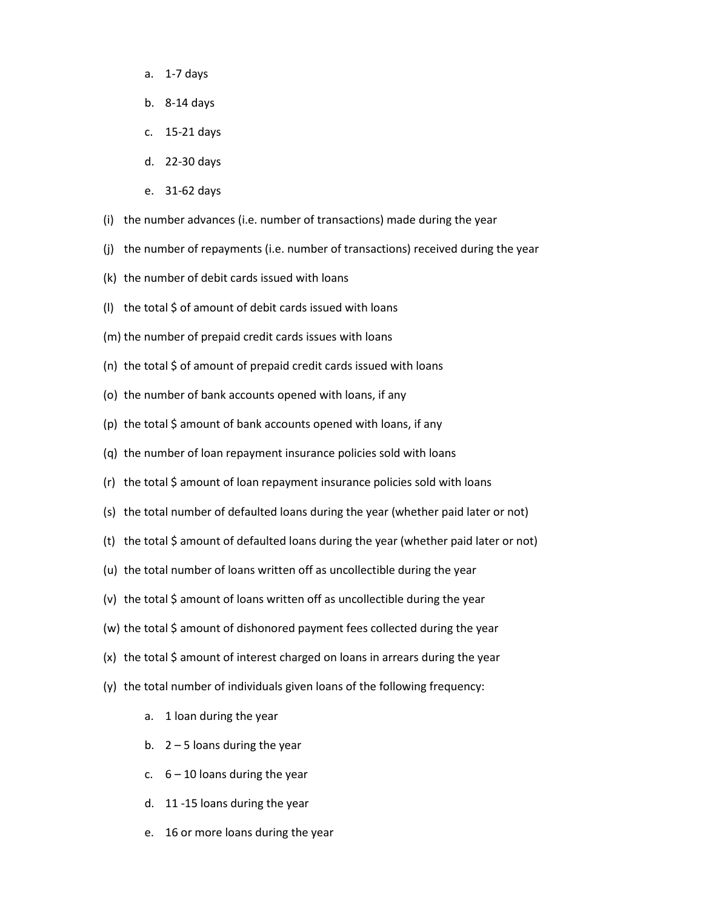- a. 1-7 days
- b. 8-14 days
- c. 15-21 days
- d. 22-30 days
- e. 31-62 days
- (i) the number advances (i.e. number of transactions) made during the year
- (j) the number of repayments (i.e. number of transactions) received during the year
- (k) the number of debit cards issued with loans
- (I) the total  $\zeta$  of amount of debit cards issued with loans
- (m) the number of prepaid credit cards issues with loans
- (n) the total \$ of amount of prepaid credit cards issued with loans
- (o) the number of bank accounts opened with loans, if any
- (p) the total \$ amount of bank accounts opened with loans, if any
- (q) the number of loan repayment insurance policies sold with loans
- (r) the total \$ amount of loan repayment insurance policies sold with loans
- (s) the total number of defaulted loans during the year (whether paid later or not)
- (t) the total  $\frac{1}{2}$  amount of defaulted loans during the year (whether paid later or not)
- (u) the total number of loans written off as uncollectible during the year
- (v) the total \$ amount of loans written off as uncollectible during the year
- (w) the total \$ amount of dishonored payment fees collected during the year
- (x) the total \$ amount of interest charged on loans in arrears during the year
- (y) the total number of individuals given loans of the following frequency:
	- a. 1 loan during the year
	- b.  $2 5$  loans during the year
	- c.  $6 10$  loans during the year
	- d. 11 -15 loans during the year
	- e. 16 or more loans during the year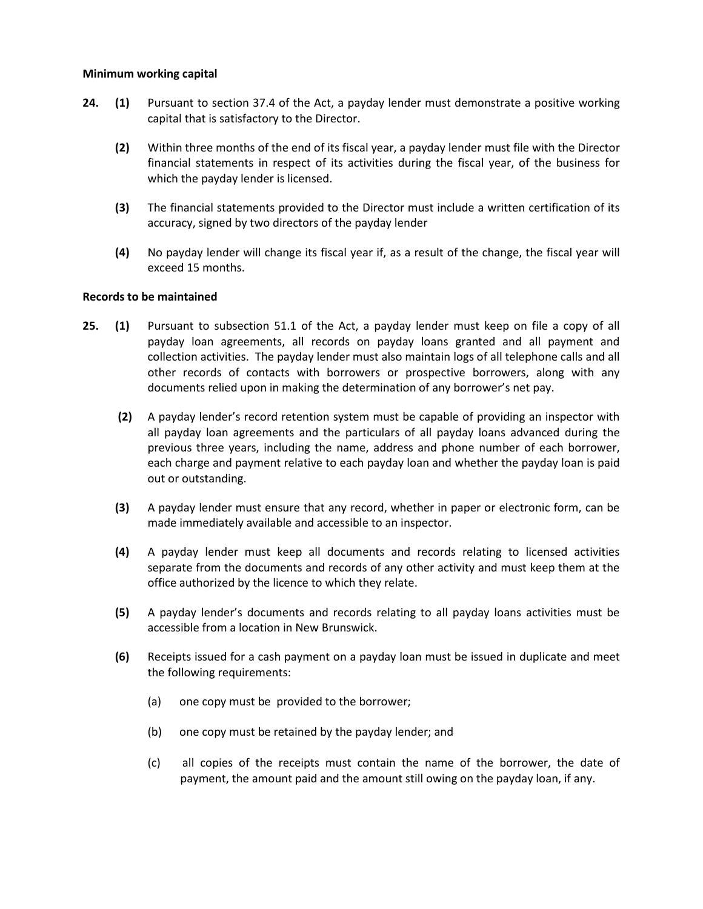### **Minimum working capital**

- **24. (1)** Pursuant to section 37.4 of the Act, a payday lender must demonstrate a positive working capital that is satisfactory to the Director.
	- **(2)** Within three months of the end of its fiscal year, a payday lender must file with the Director financial statements in respect of its activities during the fiscal year, of the business for which the payday lender is licensed.
	- **(3)** The financial statements provided to the Director must include a written certification of its accuracy, signed by two directors of the payday lender
	- **(4)** No payday lender will change its fiscal year if, as a result of the change, the fiscal year will exceed 15 months.

### **Records to be maintained**

- **25. (1)** Pursuant to subsection 51.1 of the Act, a payday lender must keep on file a copy of all payday loan agreements, all records on payday loans granted and all payment and collection activities. The payday lender must also maintain logs of all telephone calls and all other records of contacts with borrowers or prospective borrowers, along with any documents relied upon in making the determination of any borrower's net pay.
	- **(2)** A payday lender's record retention system must be capable of providing an inspector with all payday loan agreements and the particulars of all payday loans advanced during the previous three years, including the name, address and phone number of each borrower, each charge and payment relative to each payday loan and whether the payday loan is paid out or outstanding.
	- **(3)** A payday lender must ensure that any record, whether in paper or electronic form, can be made immediately available and accessible to an inspector.
	- **(4)** A payday lender must keep all documents and records relating to licensed activities separate from the documents and records of any other activity and must keep them at the office authorized by the licence to which they relate.
	- **(5)** A payday lender's documents and records relating to all payday loans activities must be accessible from a location in New Brunswick.
	- **(6)** Receipts issued for a cash payment on a payday loan must be issued in duplicate and meet the following requirements:
		- (a) one copy must be provided to the borrower;
		- (b) one copy must be retained by the payday lender; and
		- (c) all copies of the receipts must contain the name of the borrower, the date of payment, the amount paid and the amount still owing on the payday loan, if any.